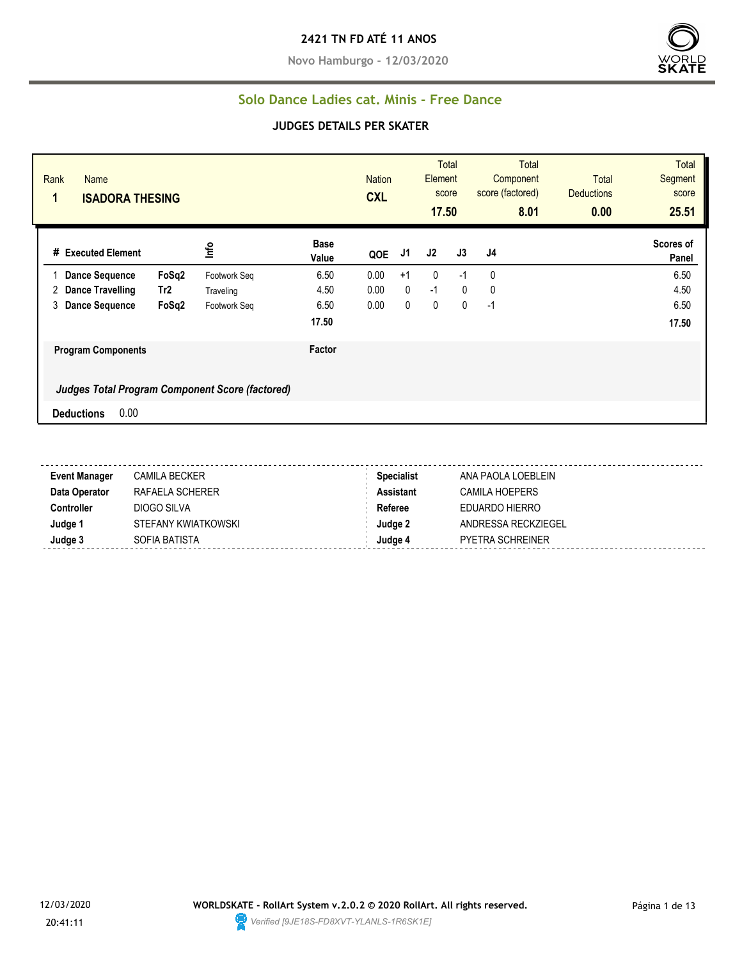**Novo Hamburgo - 12/03/2020**



#### **Solo Dance Ladies cat. Minis - Free Dance**

| Rank<br><b>Name</b><br><b>ISADORA THESING</b><br>1 |                 |              |                      | <b>Nation</b><br><b>CXL</b> |             | <b>Element</b><br>17.50 | <b>Total</b><br>score | <b>Total</b><br>Component<br>score (factored)<br>8.01 | <b>Total</b><br><b>Deductions</b><br>0.00 | <b>Total</b><br>Segment<br>score<br>25.51 |
|----------------------------------------------------|-----------------|--------------|----------------------|-----------------------------|-------------|-------------------------|-----------------------|-------------------------------------------------------|-------------------------------------------|-------------------------------------------|
| # Executed Element                                 |                 | lnfo         | <b>Base</b><br>Value | QOE                         | J1          | J2                      | J3                    | J <sub>4</sub>                                        |                                           | Scores of<br>Panel                        |
| <b>Dance Sequence</b>                              | FoSq2           | Footwork Seq | 6.50                 | 0.00                        | $+1$        | $\mathbf{0}$            | $-1$                  | 0                                                     |                                           | 6.50                                      |
| Dance Travelling<br>2                              | Tr <sub>2</sub> | Traveling    | 4.50                 | 0.00                        | $\mathbf 0$ | $-1$                    | $\mathbf 0$           | 0                                                     |                                           | 4.50                                      |
| 3<br><b>Dance Sequence</b>                         | FoSq2           | Footwork Seq | 6.50                 | 0.00                        | 0           | $\mathbf 0$             | 0                     | $-1$                                                  |                                           | 6.50                                      |
|                                                    |                 |              | 17.50                |                             |             |                         |                       |                                                       |                                           | 17.50                                     |
| <b>Program Components</b>                          |                 |              | Factor               |                             |             |                         |                       |                                                       |                                           |                                           |
| Judges Total Program Component Score (factored)    |                 |              |                      |                             |             |                         |                       |                                                       |                                           |                                           |
| 0.00<br><b>Deductions</b>                          |                 |              |                      |                             |             |                         |                       |                                                       |                                           |                                           |

| <b>Event Manager</b> | CAMILA BECKER       | <b>Specialist</b> | ANA PAOLA LOEBLEIN      |
|----------------------|---------------------|-------------------|-------------------------|
| Data Operator        | RAFAELA SCHERER     | Assistant         | CAMILA HOEPERS          |
| Controller           | DIOGO SILVA         | Referee           | EDUARDO HIERRO          |
| Judge 1              | STEFANY KWIATKOWSKI | Judge 2           | ANDRESSA RECKZIEGEL     |
| Judge 3              | SOFIA BATISTA       | Judge 4           | <b>PYETRA SCHREINER</b> |

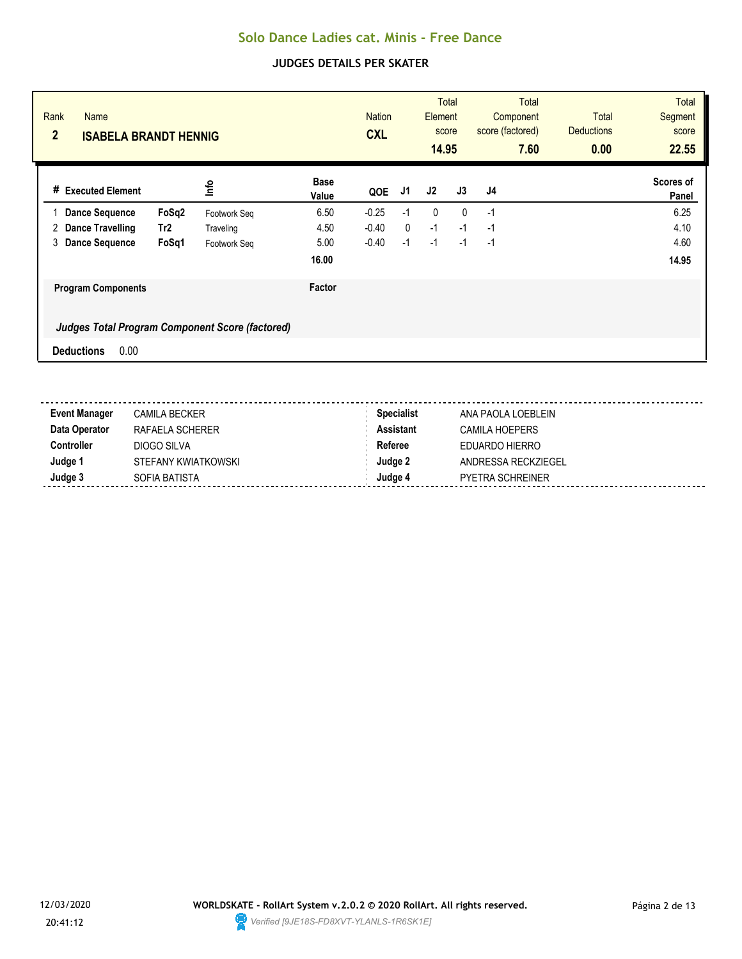| Rank<br><b>Name</b><br>$\overline{2}$ | <b>ISABELA BRANDT HENNIG</b> |                 |                                                        |                      | <b>Nation</b><br><b>CXL</b> |              | Element<br>score<br>14.95 | <b>Total</b> |                | <b>Total</b><br>Component<br>score (factored)<br>7.60 | Total<br><b>Deductions</b><br>0.00 | <b>Total</b><br><b>Segment</b><br>score<br>22.55 |
|---------------------------------------|------------------------------|-----------------|--------------------------------------------------------|----------------------|-----------------------------|--------------|---------------------------|--------------|----------------|-------------------------------------------------------|------------------------------------|--------------------------------------------------|
| #                                     | <b>Executed Element</b>      |                 | lnfo                                                   | <b>Base</b><br>Value | QOE                         | J1           | J2                        | J3           | J <sub>4</sub> |                                                       |                                    | Scores of<br>Panel                               |
|                                       | <b>Dance Sequence</b>        | FoSq2           | Footwork Seq                                           | 6.50                 | $-0.25$                     | $-1$         | 0                         | $\mathbf{0}$ | $-1$           |                                                       |                                    | 6.25                                             |
| 2                                     | <b>Dance Travelling</b>      | Tr <sub>2</sub> | Traveling                                              | 4.50                 | $-0.40$                     | $\mathbf{0}$ | $-1$                      | $-1$         | $-1$           |                                                       |                                    | 4.10                                             |
| 3                                     | <b>Dance Sequence</b>        | FoSq1           | Footwork Seq                                           | 5.00                 | $-0.40$                     | $-1$         | $-1$                      | $-1$         | $-1$           |                                                       |                                    | 4.60                                             |
|                                       |                              |                 |                                                        | 16.00                |                             |              |                           |              |                |                                                       |                                    | 14.95                                            |
|                                       | <b>Program Components</b>    |                 |                                                        | Factor               |                             |              |                           |              |                |                                                       |                                    |                                                  |
|                                       |                              |                 | <b>Judges Total Program Component Score (factored)</b> |                      |                             |              |                           |              |                |                                                       |                                    |                                                  |
| <b>Deductions</b>                     | 0.00                         |                 |                                                        |                      |                             |              |                           |              |                |                                                       |                                    |                                                  |

| <b>Event Manager</b> | <b>CAMILA BECKER</b> | <b>Specialist</b> | ANA PAOLA LOEBLEIN      |
|----------------------|----------------------|-------------------|-------------------------|
| Data Operator        | RAFAELA SCHERER      | <b>Assistant</b>  | CAMILA HOEPERS          |
| Controller           | DIOGO SILVA          | Referee           | EDUARDO HIERRO          |
| Judge 1              | STEFANY KWIATKOWSKI  | Judge 2           | ANDRESSA RECKZIEGEL     |
| Judge 3              | SOFIA BATISTA        | Judae 4           | <b>PYETRA SCHREINER</b> |

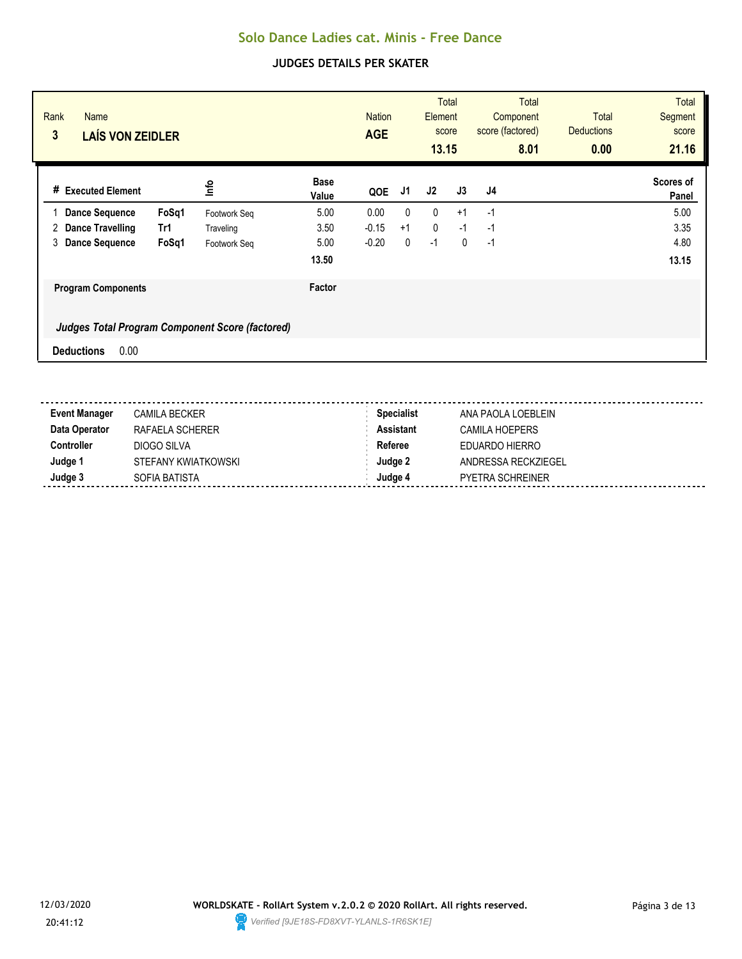| Rank<br><b>Name</b><br>$\mathbf{3}$<br><b>LAÍS VON ZEIDLER</b> |       |                                                 |                      | <b>Nation</b><br><b>AGE</b> |              | Element<br>score<br>13.15 | <b>Total</b> |    | <b>Total</b><br>Component<br>score (factored)<br>8.01 | <b>Total</b><br><b>Deductions</b><br>0.00 | <b>Total</b><br><b>Segment</b><br>score<br>21.16 |
|----------------------------------------------------------------|-------|-------------------------------------------------|----------------------|-----------------------------|--------------|---------------------------|--------------|----|-------------------------------------------------------|-------------------------------------------|--------------------------------------------------|
| # Executed Element                                             |       | lnfo                                            | <b>Base</b><br>Value | QOE                         | J1           | J2                        | J3           | J4 |                                                       |                                           | Scores of<br>Panel                               |
| <b>Dance Sequence</b>                                          | FoSq1 | Footwork Seq                                    | 5.00                 | 0.00                        | $\mathbf{0}$ | 0                         | $+1$         | -1 |                                                       |                                           | 5.00                                             |
| 2<br>Dance Travelling                                          | Tr1   | Traveling                                       | 3.50                 | $-0.15$                     | $+1$         | 0                         | $-1$         | -1 |                                                       |                                           | 3.35                                             |
| 3<br><b>Dance Sequence</b>                                     | FoSq1 | Footwork Seq                                    | 5.00                 | $-0.20$                     | 0            | $-1$                      | $\mathbf{0}$ | -1 |                                                       |                                           | 4.80                                             |
|                                                                |       |                                                 | 13.50                |                             |              |                           |              |    |                                                       |                                           | 13.15                                            |
| <b>Program Components</b>                                      |       |                                                 | Factor               |                             |              |                           |              |    |                                                       |                                           |                                                  |
|                                                                |       | Judges Total Program Component Score (factored) |                      |                             |              |                           |              |    |                                                       |                                           |                                                  |
| 0.00<br><b>Deductions</b>                                      |       |                                                 |                      |                             |              |                           |              |    |                                                       |                                           |                                                  |

| <b>CAMILA BECKER</b> | <b>Specialist</b> | ANA PAOLA LOEBLEIN  |
|----------------------|-------------------|---------------------|
| RAFAELA SCHERER      | <b>Assistant</b>  | CAMILA HOEPERS      |
| DIOGO SILVA          | Referee           | EDUARDO HIERRO      |
| STEFANY KWIATKOWSKI  | Judge 2           | ANDRESSA RECKZIEGEL |
| SOFIA BATISTA        | Judge 4           | PYETRA SCHREINER    |
|                      |                   |                     |

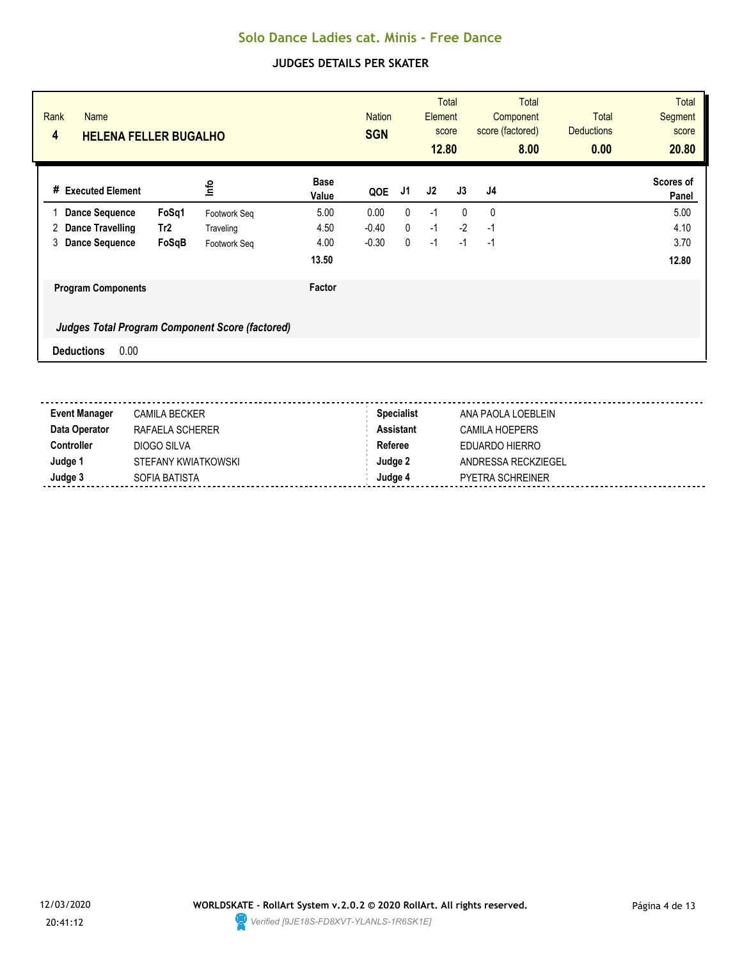| Rank<br><b>Name</b><br>4<br><b>HELENA FELLER BUGALHO</b> |                 |                                                        |                      | <b>Nation</b><br><b>SGN</b> |              | Element<br>score<br>12.80 | <b>Total</b> |              | <b>Total</b><br>Component<br>score (factored)<br>8.00 | Total<br><b>Deductions</b><br>0.00 | <b>Total</b><br><b>Segment</b><br>score<br>20.80 |
|----------------------------------------------------------|-----------------|--------------------------------------------------------|----------------------|-----------------------------|--------------|---------------------------|--------------|--------------|-------------------------------------------------------|------------------------------------|--------------------------------------------------|
| <b>Executed Element</b><br>#                             |                 | lnfo                                                   | <b>Base</b><br>Value | QOE                         | J1           | J2                        | J3           | J4           |                                                       |                                    | Scores of<br>Panel                               |
| <b>Dance Sequence</b>                                    | FoSq1           | Footwork Seq                                           | 5.00                 | 0.00                        | $\mathbf{0}$ | $-1$                      | $\mathbf{0}$ | $\mathbf{0}$ |                                                       |                                    | 5.00                                             |
| <b>Dance Travelling</b><br>2                             | Tr <sub>2</sub> | Traveling                                              | 4.50                 | $-0.40$                     | $\mathbf{0}$ | $-1$                      | $-2$         | $-1$         |                                                       |                                    | 4.10                                             |
| 3<br><b>Dance Sequence</b>                               | FoSqB           | Footwork Seq                                           | 4.00                 | $-0.30$                     | $\mathbf{0}$ | $-1$                      | $-1$         | $-1$         |                                                       |                                    | 3.70                                             |
|                                                          |                 |                                                        | 13.50                |                             |              |                           |              |              |                                                       |                                    | 12.80                                            |
| <b>Program Components</b>                                |                 |                                                        | Factor               |                             |              |                           |              |              |                                                       |                                    |                                                  |
|                                                          |                 | <b>Judges Total Program Component Score (factored)</b> |                      |                             |              |                           |              |              |                                                       |                                    |                                                  |
| 0.00<br><b>Deductions</b>                                |                 |                                                        |                      |                             |              |                           |              |              |                                                       |                                    |                                                  |

| <b>Event Manager</b> | <b>CAMILA BECKER</b> | <b>Specialist</b> | ANA PAOLA LOEBLEIN      |
|----------------------|----------------------|-------------------|-------------------------|
| Data Operator        | RAFAELA SCHERER      | <b>Assistant</b>  | CAMILA HOEPERS          |
| Controller           | DIOGO SILVA          | Referee           | EDUARDO HIERRO          |
| Judge 1              | STEFANY KWIATKOWSKI  | Judge 2           | ANDRESSA RECKZIEGEL     |
| Judge 3              | SOFIA BATISTA        | Judae 4           | <b>PYETRA SCHREINER</b> |

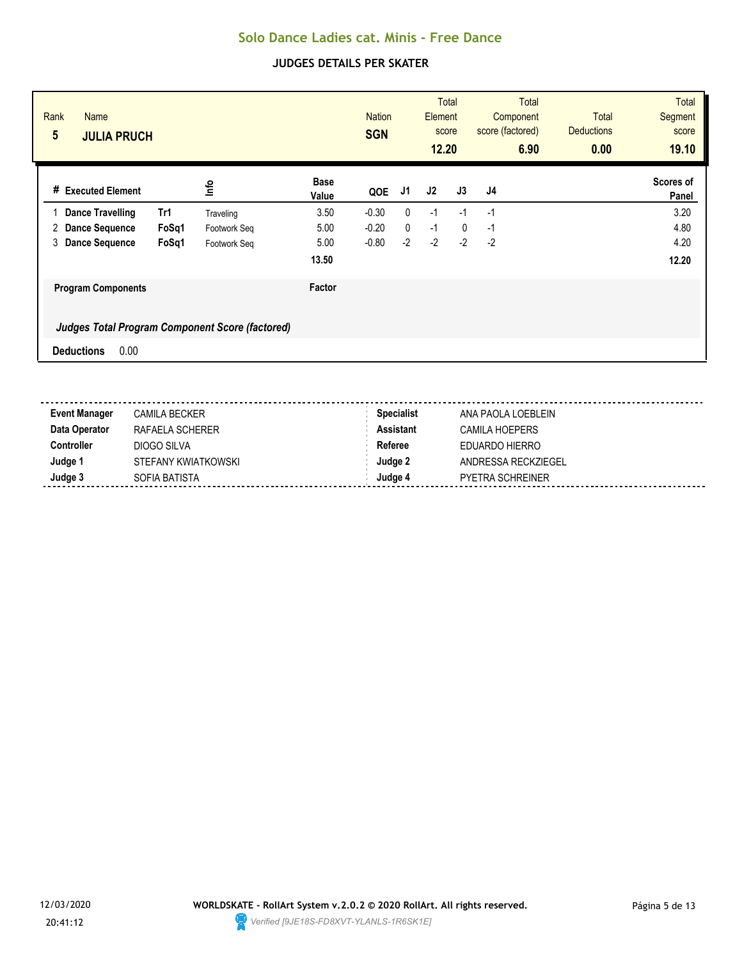| Rank<br><b>Name</b><br>$5\phantom{.0}$<br><b>JULIA PRUCH</b> |       |              |                      | <b>Nation</b><br><b>SGN</b> |              | Element<br>score<br>12.20 | Total        |      | <b>Total</b><br>Component<br>score (factored)<br>6.90 | <b>Total</b><br><b>Deductions</b><br>0.00 | <b>Total</b><br>Segment<br>score<br>19.10 |
|--------------------------------------------------------------|-------|--------------|----------------------|-----------------------------|--------------|---------------------------|--------------|------|-------------------------------------------------------|-------------------------------------------|-------------------------------------------|
| # Executed Element                                           |       | lnfo         | <b>Base</b><br>Value | QOE                         | J1           | J2                        | J3           | J4   |                                                       |                                           | <b>Scores of</b><br>Panel                 |
| <b>Dance Travelling</b>                                      | Tr1   | Traveling    | 3.50                 | $-0.30$                     | $\mathbf{0}$ | $-1$                      | $-1$         | -1   |                                                       |                                           | 3.20                                      |
| <b>Dance Sequence</b><br>2                                   | FoSq1 | Footwork Seq | 5.00                 | $-0.20$                     | $\mathbf 0$  | $-1$                      | $\mathbf{0}$ | -1   |                                                       |                                           | 4.80                                      |
| 3<br><b>Dance Sequence</b>                                   | FoSq1 | Footwork Seq | 5.00                 | $-0.80$                     | $-2$         | $-2$                      | $-2$         | $-2$ |                                                       |                                           | 4.20                                      |
|                                                              |       |              | 13.50                |                             |              |                           |              |      |                                                       |                                           | 12.20                                     |
| <b>Program Components</b>                                    |       |              | Factor               |                             |              |                           |              |      |                                                       |                                           |                                           |
| Judges Total Program Component Score (factored)              |       |              |                      |                             |              |                           |              |      |                                                       |                                           |                                           |
| 0.00<br><b>Deductions</b>                                    |       |              |                      |                             |              |                           |              |      |                                                       |                                           |                                           |

| <b>Event Manager</b> | <b>CAMILA BECKER</b> | <b>Specialist</b> | ANA PAOLA LOEBLEIN      |
|----------------------|----------------------|-------------------|-------------------------|
| Data Operator        | RAFAELA SCHERER      | <b>Assistant</b>  | CAMILA HOEPERS          |
| Controller           | DIOGO SILVA          | Referee           | EDUARDO HIERRO          |
| Judge 1              | STEFANY KWIATKOWSKI  | Judge 2           | ANDRESSA RECKZIEGEL     |
| Judge 3              | SOFIA BATISTA        | Judae 4           | <b>PYETRA SCHREINER</b> |

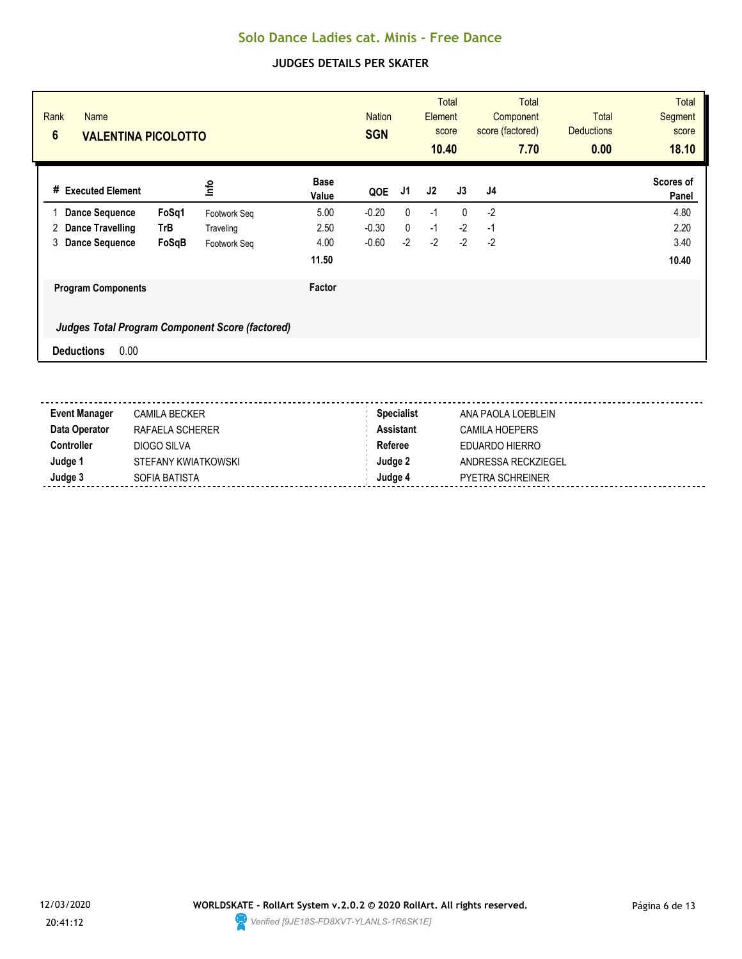| Rank<br><b>Name</b><br>$6\phantom{1}6$<br><b>VALENTINA PICOLOTTO</b> |       |              |                      | <b>Nation</b><br><b>SGN</b> |              | Element<br>10.40 | <b>Total</b><br>score | score (factored) | <b>Total</b><br>Component<br>7.70 | Total<br><b>Deductions</b><br>0.00 | <b>Total</b><br><b>Segment</b><br>score<br>18.10 |
|----------------------------------------------------------------------|-------|--------------|----------------------|-----------------------------|--------------|------------------|-----------------------|------------------|-----------------------------------|------------------------------------|--------------------------------------------------|
| <b>Executed Element</b><br>#                                         |       | lnfo         | <b>Base</b><br>Value | QOE                         | J1           | J2               | J3                    | J <sub>4</sub>   |                                   |                                    | Scores of<br>Panel                               |
| <b>Dance Sequence</b>                                                | FoSq1 | Footwork Seq | 5.00                 | $-0.20$                     | $\mathbf{0}$ | $-1$             | $\mathbf{0}$          | $-2$             |                                   |                                    | 4.80                                             |
| <b>Dance Travelling</b><br>2                                         | TrB   | Traveling    | 2.50                 | $-0.30$                     | 0            | $-1$             | $-2$                  | $-1$             |                                   |                                    | 2.20                                             |
| 3<br><b>Dance Sequence</b>                                           | FoSqB | Footwork Seq | 4.00                 | $-0.60$                     | $-2$         | $-2$             | $-2$                  | $-2$             |                                   |                                    | 3.40                                             |
|                                                                      |       |              | 11.50                |                             |              |                  |                       |                  |                                   |                                    | 10.40                                            |
| <b>Program Components</b>                                            |       |              | Factor               |                             |              |                  |                       |                  |                                   |                                    |                                                  |
| <b>Judges Total Program Component Score (factored)</b>               |       |              |                      |                             |              |                  |                       |                  |                                   |                                    |                                                  |
| 0.00<br><b>Deductions</b>                                            |       |              |                      |                             |              |                  |                       |                  |                                   |                                    |                                                  |

| <b>Event Manager</b> | <b>CAMILA BECKER</b> | <b>Specialist</b> | ANA PAOLA LOEBLEIN      |
|----------------------|----------------------|-------------------|-------------------------|
| Data Operator        | RAFAELA SCHERER      | <b>Assistant</b>  | CAMILA HOEPERS          |
| Controller           | DIOGO SILVA          | Referee           | EDUARDO HIERRO          |
| Judge 1              | STEFANY KWIATKOWSKI  | Judge 2           | ANDRESSA RECKZIEGEL     |
| Judge 3              | SOFIA BATISTA        | Judae 4           | <b>PYETRA SCHREINER</b> |

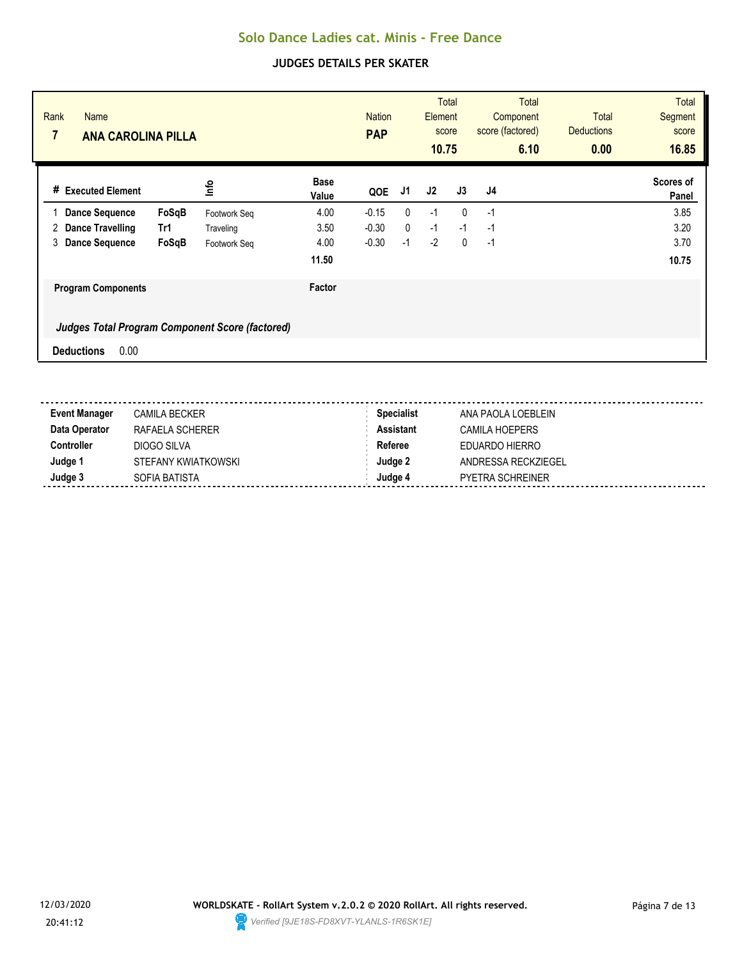| Rank<br><b>Name</b><br>$\overline{7}$<br><b>ANA CAROLINA PILLA</b> |       |                                                        |                      | <b>Nation</b><br><b>PAP</b> |      | Element<br>score<br>10.75 | <b>Total</b> |    | <b>Total</b><br>Component<br>score (factored)<br>6.10 | <b>Total</b><br><b>Deductions</b><br>0.00 | <b>Total</b><br><b>Segment</b><br>score<br>16.85 |
|--------------------------------------------------------------------|-------|--------------------------------------------------------|----------------------|-----------------------------|------|---------------------------|--------------|----|-------------------------------------------------------|-------------------------------------------|--------------------------------------------------|
| # Executed Element                                                 |       | lnfo                                                   | <b>Base</b><br>Value | QOE                         | J1   | J2                        | J3           | J4 |                                                       |                                           | Scores of<br>Panel                               |
| <b>Dance Sequence</b>                                              | FoSqB | Footwork Seq                                           | 4.00                 | $-0.15$                     | 0    | $-1$                      | $\mathbf{0}$ | -1 |                                                       |                                           | 3.85                                             |
| 2<br><b>Dance Travelling</b>                                       | Tr1   | Traveling                                              | 3.50                 | $-0.30$                     | 0    | $-1$                      | $-1$         | -1 |                                                       |                                           | 3.20                                             |
| 3<br><b>Dance Sequence</b>                                         | FoSqB | Footwork Seq                                           | 4.00                 | $-0.30$                     | $-1$ | $-2$                      | $\mathbf{0}$ | -1 |                                                       |                                           | 3.70                                             |
|                                                                    |       |                                                        | 11.50                |                             |      |                           |              |    |                                                       |                                           | 10.75                                            |
| <b>Program Components</b>                                          |       |                                                        | Factor               |                             |      |                           |              |    |                                                       |                                           |                                                  |
|                                                                    |       | <b>Judges Total Program Component Score (factored)</b> |                      |                             |      |                           |              |    |                                                       |                                           |                                                  |
| 0.00<br><b>Deductions</b>                                          |       |                                                        |                      |                             |      |                           |              |    |                                                       |                                           |                                                  |

| <b>Event Manager</b> | <b>CAMILA BECKER</b> | <b>Specialist</b> | ANA PAOLA LOEBLEIN  |
|----------------------|----------------------|-------------------|---------------------|
| Data Operator        | RAFAELA SCHERER      | Assistant         | CAMILA HOEPERS      |
| Controller           | DIOGO SILVA          | Referee           | EDUARDO HIERRO      |
| Judge                | STEFANY KWIATKOWSKI  | Judge 2           | ANDRESSA RECKZIEGEL |
| Judge 3              | SOFIA BATISTA        | Judge 4           | PYETRA SCHREINER    |
|                      |                      |                   |                     |

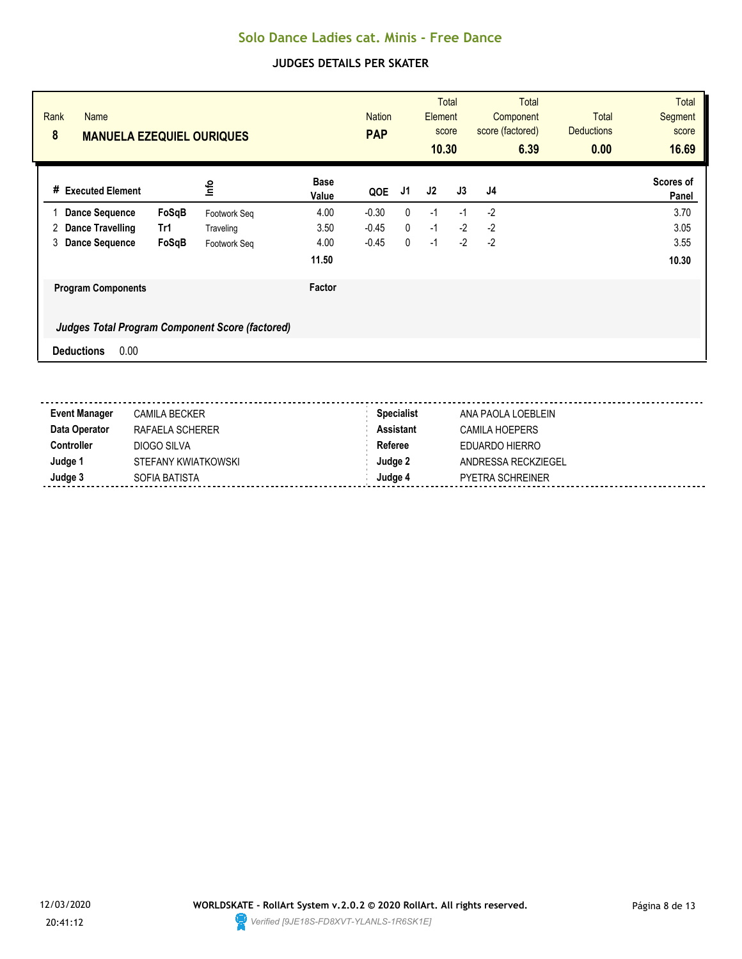| Rank<br><b>Name</b><br>8<br><b>MANUELA EZEQUIEL OURIQUES</b> |       |                                                        |                      | <b>Nation</b><br><b>PAP</b> |              | Element<br>10.30 | <b>Total</b><br>score | score (factored) | <b>Total</b><br>Component<br>6.39 | <b>Total</b><br><b>Deductions</b><br>0.00 | <b>Total</b><br><b>Segment</b><br>score<br>16.69 |
|--------------------------------------------------------------|-------|--------------------------------------------------------|----------------------|-----------------------------|--------------|------------------|-----------------------|------------------|-----------------------------------|-------------------------------------------|--------------------------------------------------|
| <b>Executed Element</b><br>#                                 |       | lnfo                                                   | <b>Base</b><br>Value | QOE                         | J1           | J2               | J3                    | J <sub>4</sub>   |                                   |                                           | Scores of<br>Panel                               |
| <b>Dance Sequence</b>                                        | FoSqB | Footwork Seq                                           | 4.00                 | $-0.30$                     | 0            | $-1$             | $-1$                  | $-2$             |                                   |                                           | 3.70                                             |
| <b>Dance Travelling</b><br>2                                 | Tr1   | Traveling                                              | 3.50                 | $-0.45$                     | $\mathbf{0}$ | $-1$             | $-2$                  | $-2$             |                                   |                                           | 3.05                                             |
| 3<br><b>Dance Sequence</b>                                   | FoSqB | Footwork Seq                                           | 4.00                 | $-0.45$                     | 0            | $-1$             | $-2$                  | $-2$             |                                   |                                           | 3.55                                             |
|                                                              |       |                                                        | 11.50                |                             |              |                  |                       |                  |                                   |                                           | 10.30                                            |
| <b>Program Components</b>                                    |       |                                                        | Factor               |                             |              |                  |                       |                  |                                   |                                           |                                                  |
|                                                              |       | <b>Judges Total Program Component Score (factored)</b> |                      |                             |              |                  |                       |                  |                                   |                                           |                                                  |
| 0.00<br><b>Deductions</b>                                    |       |                                                        |                      |                             |              |                  |                       |                  |                                   |                                           |                                                  |

| <b>Event Manager</b> | <b>CAMILA BECKER</b> | <b>Specialist</b> | ANA PAOLA LOEBLEIN      |
|----------------------|----------------------|-------------------|-------------------------|
| Data Operator        | RAFAELA SCHERER      | <b>Assistant</b>  | CAMILA HOEPERS          |
| Controller           | DIOGO SILVA          | Referee           | EDUARDO HIERRO          |
| Judge 1              | STEFANY KWIATKOWSKI  | Judge 2           | ANDRESSA RECKZIEGEL     |
| Judge 3              | SOFIA BATISTA        | Judae 4           | <b>PYETRA SCHREINER</b> |

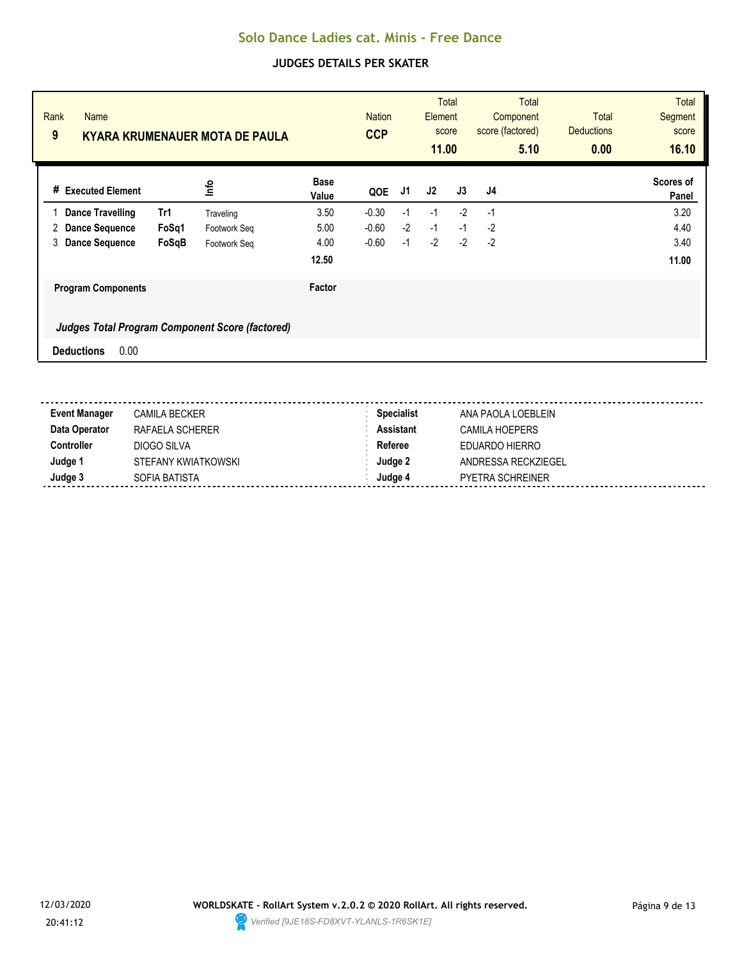| Rank<br><b>Name</b><br>9     |       | <b>KYARA KRUMENAUER MOTA DE PAULA</b>                  |                      | <b>Nation</b><br><b>CCP</b> |      | Element<br>11.00 | <b>Total</b><br>score | score (factored) | <b>Total</b><br>Component<br>5.10 | <b>Total</b><br><b>Deductions</b><br>0.00 | <b>Total</b><br>Segment<br>score<br>16.10 |
|------------------------------|-------|--------------------------------------------------------|----------------------|-----------------------------|------|------------------|-----------------------|------------------|-----------------------------------|-------------------------------------------|-------------------------------------------|
| <b>Executed Element</b><br># |       | lnfo                                                   | <b>Base</b><br>Value | QOE                         | J1   | J2               | J3                    | J4               |                                   |                                           | Scores of<br>Panel                        |
| <b>Dance Travelling</b>      | Tr1   | Traveling                                              | 3.50                 | $-0.30$                     | -1   | $-1$             | $-2$                  | -1               |                                   |                                           | 3.20                                      |
| Dance Sequence<br>2          | FoSq1 | Footwork Seq                                           | 5.00                 | $-0.60$                     | $-2$ | $-1$             | $-1$                  | $-2$             |                                   |                                           | 4.40                                      |
| 3<br><b>Dance Sequence</b>   | FoSqB | Footwork Seq                                           | 4.00                 | $-0.60$                     | $-1$ | $-2$             | $-2$                  | $-2$             |                                   |                                           | 3.40                                      |
|                              |       |                                                        | 12.50                |                             |      |                  |                       |                  |                                   |                                           | 11.00                                     |
| <b>Program Components</b>    |       |                                                        | Factor               |                             |      |                  |                       |                  |                                   |                                           |                                           |
|                              |       | <b>Judges Total Program Component Score (factored)</b> |                      |                             |      |                  |                       |                  |                                   |                                           |                                           |
| 0.00<br><b>Deductions</b>    |       |                                                        |                      |                             |      |                  |                       |                  |                                   |                                           |                                           |

| <b>Event Manager</b> | <b>CAMILA BECKER</b> | <b>Specialist</b> | ANA PAOLA LOEBLEIN      |
|----------------------|----------------------|-------------------|-------------------------|
| Data Operator        | RAFAELA SCHERER      | <b>Assistant</b>  | CAMILA HOEPERS          |
| Controller           | DIOGO SILVA          | Referee           | EDUARDO HIERRO          |
| Judge 1              | STEFANY KWIATKOWSKI  | Judge 2           | ANDRESSA RECKZIEGEL     |
| Judge 3              | SOFIA BATISTA        | Judae 4           | <b>PYETRA SCHREINER</b> |

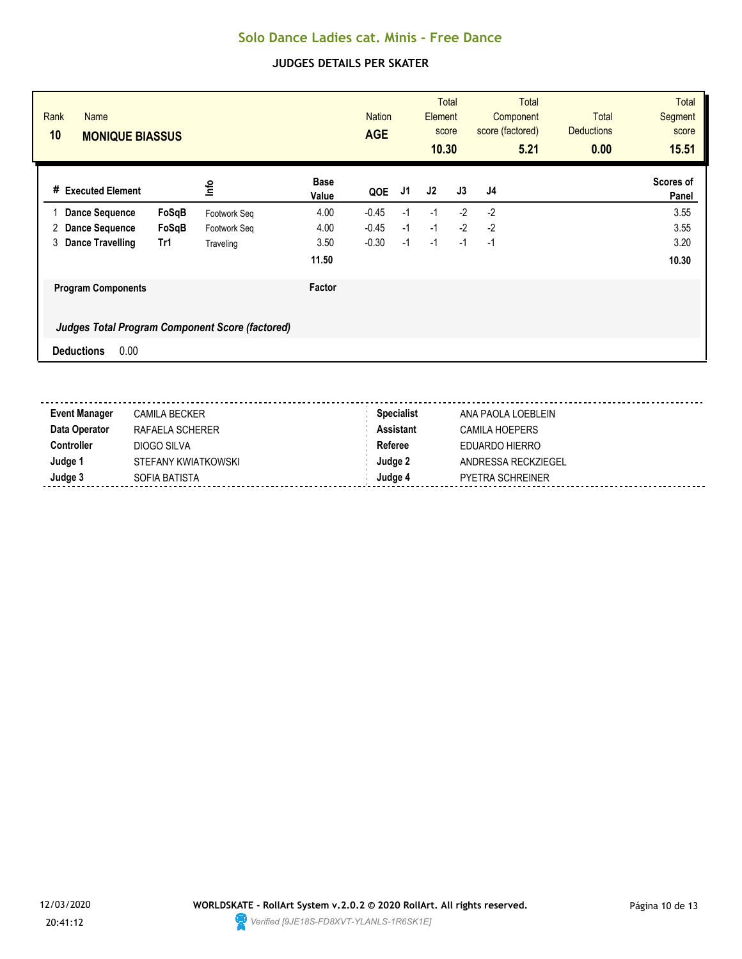| Rank<br><b>Name</b><br>10<br><b>MONIQUE BIASSUS</b> |       |                                                        |                      | <b>Nation</b><br><b>AGE</b> |      | Element<br>score<br>10.30 | <b>Total</b> | score (factored) | <b>Total</b><br>Component<br>5.21 | <b>Total</b><br><b>Deductions</b><br>0.00 | <b>Total</b><br><b>Segment</b><br>score<br>15.51 |
|-----------------------------------------------------|-------|--------------------------------------------------------|----------------------|-----------------------------|------|---------------------------|--------------|------------------|-----------------------------------|-------------------------------------------|--------------------------------------------------|
| # Executed Element                                  |       | lnfo                                                   | <b>Base</b><br>Value | QOE                         | J1   | J2                        | J3           | J4               |                                   |                                           | Scores of<br>Panel                               |
| <b>Dance Sequence</b>                               | FoSqB | Footwork Seq                                           | 4.00                 | $-0.45$                     | $-1$ | $-1$                      | $-2$         | $-2$             |                                   |                                           | 3.55                                             |
| 2<br><b>Dance Sequence</b>                          | FoSqB | Footwork Seq                                           | 4.00                 | $-0.45$                     | $-1$ | $-1$                      | $-2$         | $-2$             |                                   |                                           | 3.55                                             |
| 3<br>Dance Travelling                               | Tr1   | Traveling                                              | 3.50                 | $-0.30$                     | $-1$ | $-1$                      | $-1$         | -1               |                                   |                                           | 3.20                                             |
|                                                     |       |                                                        | 11.50                |                             |      |                           |              |                  |                                   |                                           | 10.30                                            |
| <b>Program Components</b>                           |       |                                                        | Factor               |                             |      |                           |              |                  |                                   |                                           |                                                  |
|                                                     |       | <b>Judges Total Program Component Score (factored)</b> |                      |                             |      |                           |              |                  |                                   |                                           |                                                  |
| 0.00<br><b>Deductions</b>                           |       |                                                        |                      |                             |      |                           |              |                  |                                   |                                           |                                                  |

| <b>Event Manager</b> | <b>CAMILA BECKER</b> | <b>Specialist</b> | ANA PAOLA LOEBLEIN      |
|----------------------|----------------------|-------------------|-------------------------|
| Data Operator        | RAFAELA SCHERER      | <b>Assistant</b>  | CAMILA HOEPERS          |
| Controller           | DIOGO SILVA          | Referee           | EDUARDO HIERRO          |
| Judge 1              | STEFANY KWIATKOWSKI  | Judge 2           | ANDRESSA RECKZIEGEL     |
| Judge 3              | SOFIA BATISTA        | Judae 4           | <b>PYETRA SCHREINER</b> |

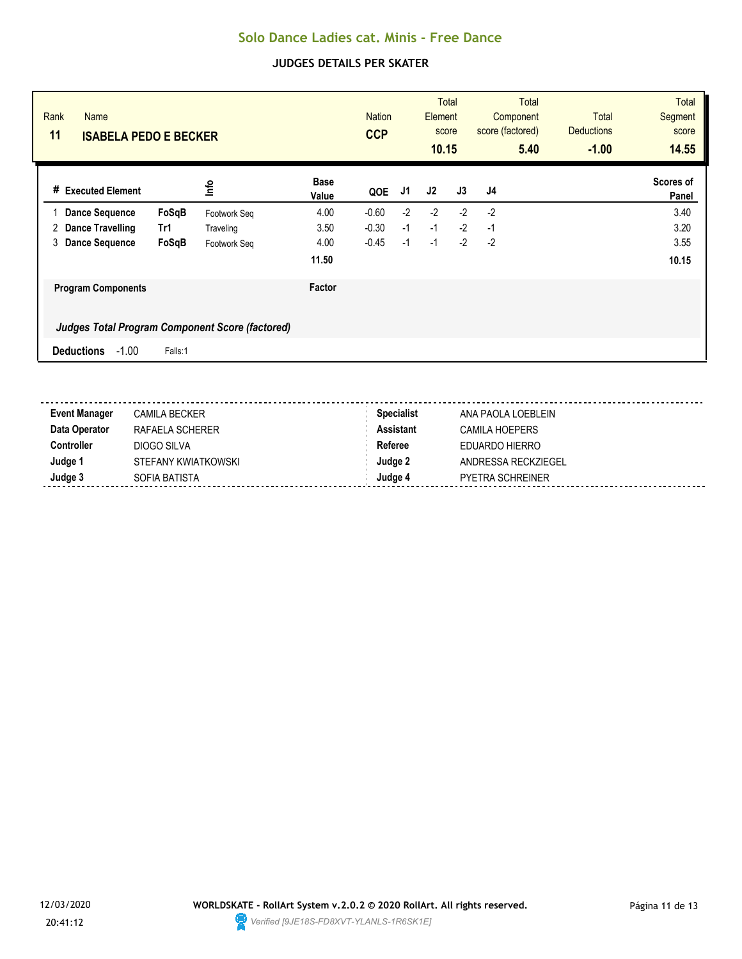| Rank<br><b>Name</b><br>11<br><b>ISABELA PEDO E BECKER</b> |         |              |                      | <b>Nation</b><br><b>CCP</b> |      | Element<br>score<br>10.15 | <b>Total</b> | score (factored) | <b>Total</b><br>Component<br>5.40 | <b>Total</b><br><b>Deductions</b><br>$-1.00$ | <b>Total</b><br><b>Segment</b><br>score<br>14.55 |
|-----------------------------------------------------------|---------|--------------|----------------------|-----------------------------|------|---------------------------|--------------|------------------|-----------------------------------|----------------------------------------------|--------------------------------------------------|
| # Executed Element                                        |         | ۴ů           | <b>Base</b><br>Value | QOE                         | J1   | J2                        | J3           | J4               |                                   |                                              | Scores of<br>Panel                               |
| <b>Dance Sequence</b>                                     | FoSqB   | Footwork Seg | 4.00                 | $-0.60$                     | $-2$ | $-2$                      | $-2$         | $-2$             |                                   |                                              | 3.40                                             |
| Dance Travelling<br>2                                     | Tr1     | Traveling    | 3.50                 | $-0.30$                     | $-1$ | $-1$                      | $-2$         | $-1$             |                                   |                                              | 3.20                                             |
| <b>Dance Sequence</b><br>3                                | FoSqB   | Footwork Seq | 4.00                 | $-0.45$                     | $-1$ | $-1$                      | $-2$         | $-2$             |                                   |                                              | 3.55                                             |
|                                                           |         |              | 11.50                |                             |      |                           |              |                  |                                   |                                              | 10.15                                            |
| <b>Program Components</b>                                 |         |              | Factor               |                             |      |                           |              |                  |                                   |                                              |                                                  |
| Judges Total Program Component Score (factored)           |         |              |                      |                             |      |                           |              |                  |                                   |                                              |                                                  |
| $-1.00$<br><b>Deductions</b>                              | Falls:1 |              |                      |                             |      |                           |              |                  |                                   |                                              |                                                  |
|                                                           |         |              |                      |                             |      |                           |              |                  |                                   |                                              |                                                  |

| <b>Event Manager</b> | <b>CAMILA BECKER</b> | <b>Specialist</b> | ANA PAOLA LOEBLEIN    |
|----------------------|----------------------|-------------------|-----------------------|
| Data Operator        | RAFAELA SCHERER      | Assistant         | <b>CAMILA HOEPERS</b> |
| Controller           | DIOGO SILVA          | Referee           | EDUARDO HIERRO        |
| Judge 1              | STEFANY KWIATKOWSKI  | Judge 2           | ANDRESSA RECKZIEGEL   |
| Judge 3              | SOFIA BATISTA        | Judge 4           | PYETRA SCHREINER      |
|                      |                      |                   |                       |

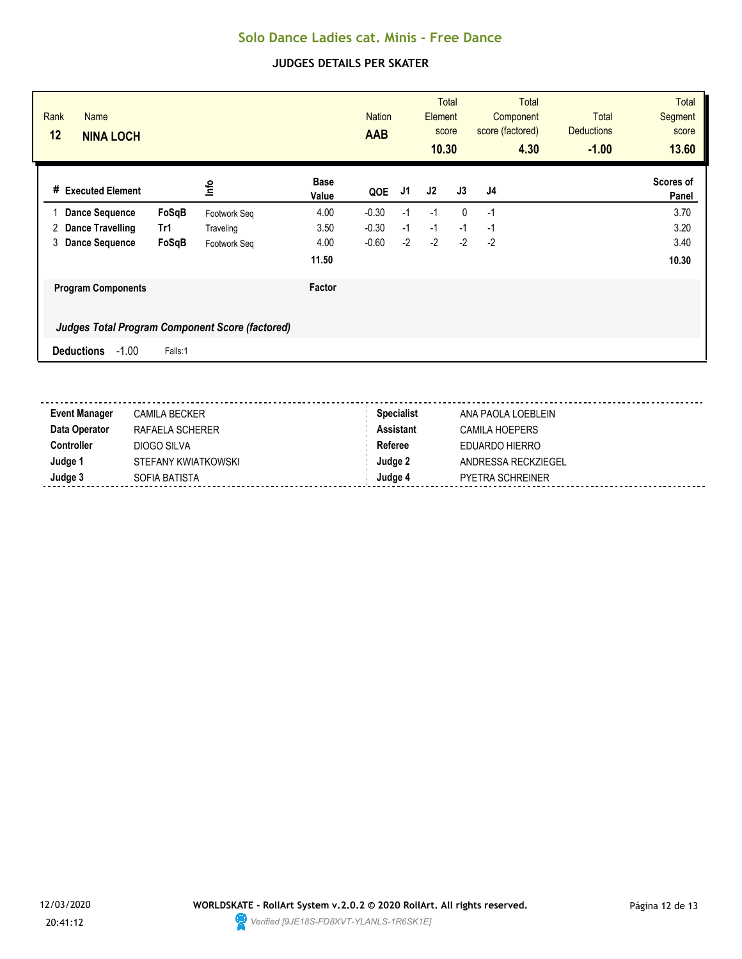| Rank<br><b>Name</b><br>12<br><b>NINA LOCH</b>   |         |              |                      | <b>Nation</b><br><b>AAB</b> |      | Element<br>score<br>10.30 | <b>Total</b> | score (factored) | <b>Total</b><br>Component<br>4.30 | <b>Total</b><br><b>Deductions</b><br>$-1.00$ | <b>Total</b><br><b>Segment</b><br>score<br>13.60 |
|-------------------------------------------------|---------|--------------|----------------------|-----------------------------|------|---------------------------|--------------|------------------|-----------------------------------|----------------------------------------------|--------------------------------------------------|
| # Executed Element                              |         | <u>lnfo</u>  | <b>Base</b><br>Value | QOE                         | J1   | J2                        | J3           | J4               |                                   |                                              | Scores of<br>Panel                               |
| <b>Dance Sequence</b>                           | FoSqB   | Footwork Seg | 4.00                 | $-0.30$                     | $-1$ | $-1$                      | $\mathbf{0}$ | $-1$             |                                   |                                              | 3.70                                             |
| Dance Travelling<br>2                           | Tr1     | Traveling    | 3.50                 | $-0.30$                     | $-1$ | $-1$                      | $-1$         | $-1$             |                                   |                                              | 3.20                                             |
| 3<br><b>Dance Sequence</b>                      | FoSqB   | Footwork Seq | 4.00                 | $-0.60$                     | $-2$ | $-2$                      | $-2$         | $-2$             |                                   |                                              | 3.40                                             |
|                                                 |         |              | 11.50                |                             |      |                           |              |                  |                                   |                                              | 10.30                                            |
| <b>Program Components</b>                       |         |              | Factor               |                             |      |                           |              |                  |                                   |                                              |                                                  |
| Judges Total Program Component Score (factored) |         |              |                      |                             |      |                           |              |                  |                                   |                                              |                                                  |
| $-1.00$<br><b>Deductions</b>                    | Falls:1 |              |                      |                             |      |                           |              |                  |                                   |                                              |                                                  |
|                                                 |         |              |                      |                             |      |                           |              |                  |                                   |                                              |                                                  |

| <b>Event Manager</b> | <b>CAMILA BECKER</b> | <b>Specialist</b> | ANA PAOLA LOEBLEIN    |
|----------------------|----------------------|-------------------|-----------------------|
| Data Operator        | RAFAELA SCHERER      | Assistant         | <b>CAMILA HOEPERS</b> |
| Controller           | DIOGO SILVA          | Referee           | EDUARDO HIERRO        |
| Judge 1              | STEFANY KWIATKOWSKI  | Judge 2           | ANDRESSA RECKZIEGEL   |
| Judge 3              | SOFIA BATISTA        | Judge 4           | PYETRA SCHREINER      |
|                      |                      |                   |                       |